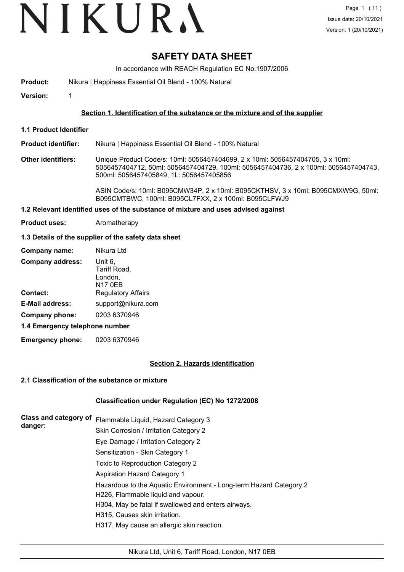# **SAFETY DATA SHEET**

In accordance with REACH Regulation EC No.1907/2006

**Product:** Nikura | Happiness Essential Oil Blend - 100% Natural

**Version:** 1

### **Section 1. Identification of the substance or the mixture and of the supplier**

**1.1 Product Identifier**

**Product identifier:** Nikura | Happiness Essential Oil Blend - 100% Natural

**Other identifiers:** Unique Product Code/s: 10ml: 5056457404699, 2 x 10ml: 5056457404705, 3 x 10ml: 5056457404712, 50ml: 5056457404729, 100ml: 5056457404736, 2 x 100ml: 5056457404743, 500ml: 5056457405849, 1L: 5056457405856

> ASIN Code/s: 10ml: B095CMW34P, 2 x 10ml: B095CKTHSV, 3 x 10ml: B095CMXW9G, 50ml: B095CMTBWC, 100ml: B095CL7FXX, 2 x 100ml: B095CLFWJ9

#### **1.2 Relevant identified uses of the substance of mixture and uses advised against**

**Product uses:** Aromatherapy

#### **1.3 Details of the supplier of the safety data sheet**

| Company name:                  | Nikura Ltd                                           |
|--------------------------------|------------------------------------------------------|
| <b>Company address:</b>        | Unit 6,<br>Tariff Road,<br>London,<br><b>N17 0EB</b> |
| <b>Contact:</b>                | <b>Regulatory Affairs</b>                            |
| <b>E-Mail address:</b>         | support@nikura.com                                   |
| Company phone:                 | 0203 6370946                                         |
| 1.4 Emergency telephone number |                                                      |

**Emergency phone:** 0203 6370946

#### **Section 2. Hazards identification**

#### **2.1 Classification of the substance or mixture**

#### **Classification under Regulation (EC) No 1272/2008**

| Class and category of<br>danger: | Flammable Liquid, Hazard Category 3                                |
|----------------------------------|--------------------------------------------------------------------|
|                                  | Skin Corrosion / Irritation Category 2                             |
|                                  | Eye Damage / Irritation Category 2                                 |
|                                  | Sensitization - Skin Category 1                                    |
|                                  | Toxic to Reproduction Category 2                                   |
|                                  | <b>Aspiration Hazard Category 1</b>                                |
|                                  | Hazardous to the Aquatic Environment - Long-term Hazard Category 2 |
|                                  | H226, Flammable liquid and vapour.                                 |
|                                  | H304, May be fatal if swallowed and enters airways.                |
|                                  | H315, Causes skin irritation.                                      |
|                                  | H317, May cause an allergic skin reaction.                         |
|                                  |                                                                    |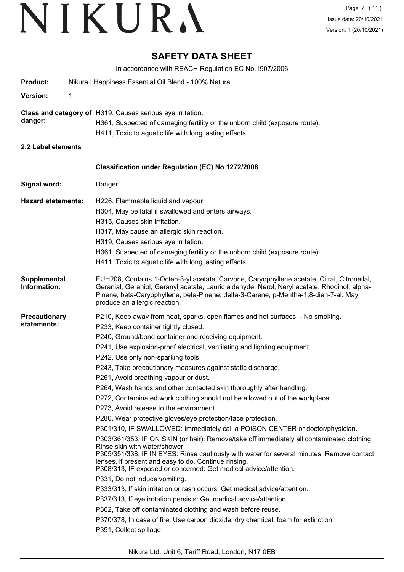## **SAFETY DATA SHEET**

In accordance with REACH Regulation EC No.1907/2006

| <b>Product:</b>              |   | Nikura   Happiness Essential Oil Blend - 100% Natural                                                                                                                                                                                                                                                                                                                                                                                                                                                                                                                                                                                                                                                                                                                                                                                                                                                                                                                                                                                                                                                                                                                                                                                                                                                                                                                                                                                                                                      |  |  |  |
|------------------------------|---|--------------------------------------------------------------------------------------------------------------------------------------------------------------------------------------------------------------------------------------------------------------------------------------------------------------------------------------------------------------------------------------------------------------------------------------------------------------------------------------------------------------------------------------------------------------------------------------------------------------------------------------------------------------------------------------------------------------------------------------------------------------------------------------------------------------------------------------------------------------------------------------------------------------------------------------------------------------------------------------------------------------------------------------------------------------------------------------------------------------------------------------------------------------------------------------------------------------------------------------------------------------------------------------------------------------------------------------------------------------------------------------------------------------------------------------------------------------------------------------------|--|--|--|
| Version:                     | 1 |                                                                                                                                                                                                                                                                                                                                                                                                                                                                                                                                                                                                                                                                                                                                                                                                                                                                                                                                                                                                                                                                                                                                                                                                                                                                                                                                                                                                                                                                                            |  |  |  |
| danger:                      |   | Class and category of H319, Causes serious eye irritation.<br>H361, Suspected of damaging fertility or the unborn child (exposure route).<br>H411, Toxic to aquatic life with long lasting effects.                                                                                                                                                                                                                                                                                                                                                                                                                                                                                                                                                                                                                                                                                                                                                                                                                                                                                                                                                                                                                                                                                                                                                                                                                                                                                        |  |  |  |
| 2.2 Label elements           |   |                                                                                                                                                                                                                                                                                                                                                                                                                                                                                                                                                                                                                                                                                                                                                                                                                                                                                                                                                                                                                                                                                                                                                                                                                                                                                                                                                                                                                                                                                            |  |  |  |
|                              |   | Classification under Regulation (EC) No 1272/2008                                                                                                                                                                                                                                                                                                                                                                                                                                                                                                                                                                                                                                                                                                                                                                                                                                                                                                                                                                                                                                                                                                                                                                                                                                                                                                                                                                                                                                          |  |  |  |
| Signal word:                 |   | Danger                                                                                                                                                                                                                                                                                                                                                                                                                                                                                                                                                                                                                                                                                                                                                                                                                                                                                                                                                                                                                                                                                                                                                                                                                                                                                                                                                                                                                                                                                     |  |  |  |
| <b>Hazard statements:</b>    |   | H226, Flammable liquid and vapour.<br>H304, May be fatal if swallowed and enters airways.<br>H315, Causes skin irritation.<br>H317, May cause an allergic skin reaction.<br>H319, Causes serious eye irritation.<br>H361, Suspected of damaging fertility or the unborn child (exposure route).<br>H411, Toxic to aquatic life with long lasting effects.                                                                                                                                                                                                                                                                                                                                                                                                                                                                                                                                                                                                                                                                                                                                                                                                                                                                                                                                                                                                                                                                                                                                  |  |  |  |
| Supplemental<br>Information: |   | EUH208, Contains 1-Octen-3-yl acetate, Carvone, Caryophyllene acetate, Citral, Citronellal,<br>Geranial, Geraniol, Geranyl acetate, Lauric aldehyde, Nerol, Neryl acetate, Rhodinol, alpha-<br>Pinene, beta-Caryophyllene, beta-Pinene, delta-3-Carene, p-Mentha-1,8-dien-7-al. May<br>produce an allergic reaction.                                                                                                                                                                                                                                                                                                                                                                                                                                                                                                                                                                                                                                                                                                                                                                                                                                                                                                                                                                                                                                                                                                                                                                       |  |  |  |
| Precautionary<br>statements: |   | P210, Keep away from heat, sparks, open flames and hot surfaces. - No smoking.<br>P233, Keep container tightly closed.<br>P240, Ground/bond container and receiving equipment.<br>P241, Use explosion-proof electrical, ventilating and lighting equipment.<br>P242, Use only non-sparking tools.<br>P243, Take precautionary measures against static discharge.<br>P261, Avoid breathing vapour or dust.<br>P264, Wash hands and other contacted skin thoroughly after handling.<br>P272, Contaminated work clothing should not be allowed out of the workplace.<br>P273, Avoid release to the environment.<br>P280, Wear protective gloves/eye protection/face protection.<br>P301/310, IF SWALLOWED: Immediately call a POISON CENTER or doctor/physician.<br>P303/361/353, IF ON SKIN (or hair): Remove/take off immediately all contaminated clothing.<br>Rinse skin with water/shower.<br>P305/351/338, IF IN EYES: Rinse cautiously with water for several minutes. Remove contact<br>lenses, if present and easy to do. Continue rinsing.<br>P308/313, IF exposed or concerned: Get medical advice/attention.<br>P331, Do not induce vomiting.<br>P333/313, If skin irritation or rash occurs: Get medical advice/attention.<br>P337/313, If eye irritation persists: Get medical advice/attention.<br>P362, Take off contaminated clothing and wash before reuse.<br>P370/378, In case of fire: Use carbon dioxide, dry chemical, foam for extinction.<br>P391, Collect spillage. |  |  |  |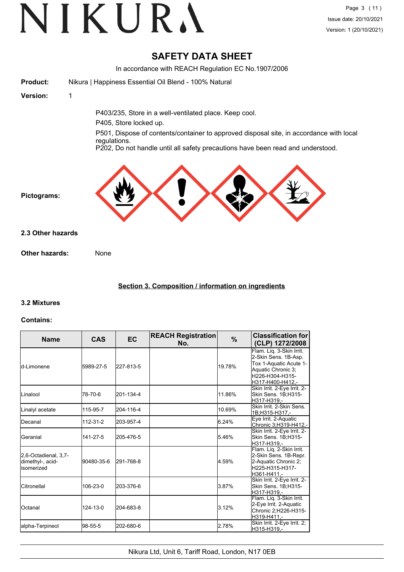## **SAFETY DATA SHEET**

In accordance with REACH Regulation EC No.1907/2006 **Product:** Nikura | Happiness Essential Oil Blend - 100% Natural **Version:** 1 P403/235, Store in a well-ventilated place. Keep cool. P405, Store locked up. P501, Dispose of contents/container to approved disposal site, in accordance with local regulations. P202, Do not handle until all safety precautions have been read and understood. **Pictograms: Other hazards:** None **2.3 Other hazards**

## **Section 3. Composition / information on ingredients**

## **3.2 Mixtures**

#### **Contains:**

| <b>Name</b>                                             | <b>CAS</b> | <b>EC</b> | <b>REACH Registration</b><br>No. | $\frac{9}{6}$ | <b>Classification for</b><br>(CLP) 1272/2008                                                                                            |
|---------------------------------------------------------|------------|-----------|----------------------------------|---------------|-----------------------------------------------------------------------------------------------------------------------------------------|
| ld-Limonene                                             | 5989-27-5  | 227-813-5 |                                  | 19.78%        | Flam. Liq. 3-Skin Irrit.<br>2-Skin Sens. 1B-Asp.<br>Tox 1-Aquatic Acute 1-<br>Aquatic Chronic 3;<br>H226-H304-H315-<br>H317-H400-H412.- |
| ILinalool                                               | 78-70-6    | 201-134-4 |                                  | 11.86%        | Skin Irrit. 2-Eye Irrit. 2-<br>Skin Sens. 1B;H315-<br>H317-H319.-                                                                       |
| Linalyl acetate                                         | 115-95-7   | 204-116-4 |                                  | 10.69%        | Skin Irrit. 2-Skin Sens.<br>1B;H315-H317,-                                                                                              |
| IDecanal                                                | 112-31-2   | 203-957-4 |                                  | 6.24%         | Eye Irrit. 2-Aquatic<br>Chronic 3, H319-H412,-                                                                                          |
| lGeranial                                               | 141-27-5   | 205-476-5 |                                  | 5.46%         | Skin Irrit. 2-Eye Irrit. 2-<br>Skin Sens. 1B;H315-<br>H317-H319.-                                                                       |
| 2,6-Octadienal, 3,7-<br>dimethyl-, acid-<br>lisomerized | 90480-35-6 | 291-768-8 |                                  | 4.59%         | Flam. Liq. 2-Skin Irrit.<br>2-Skin Sens. 1B-Repr.<br>2-Aquatic Chronic 2;<br>H225-H315-H317-<br>H361-H411.-                             |
| <b>I</b> Citronellal                                    | 106-23-0   | 203-376-6 |                                  | 3.87%         | Skin Irrit. 2-Eye Irrit. 2-<br>Skin Sens. 1B:H315-<br>H317-H319.-                                                                       |
| <b>Octanal</b>                                          | 124-13-0   | 204-683-8 |                                  | 3.12%         | Flam. Liq. 3-Skin Irrit.<br>2-Eye Irrit. 2-Aquatic<br>Chronic 2;H226-H315-<br>H319-H411.-                                               |
| alpha-Terpineol                                         | 98-55-5    | 202-680-6 |                                  | 2.78%         | Skin Irrit. 2-Eye Irrit. 2;<br>H315-H319.-                                                                                              |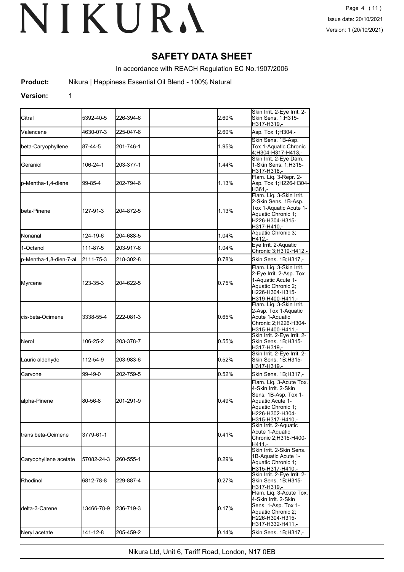## **SAFETY DATA SHEET**

In accordance with REACH Regulation EC No.1907/2006

**Product:** Nikura | Happiness Essential Oil Blend - 100% Natural

#### **Version:** 1

| Citral                      | 5392-40-5  | 226-394-6 | 2.60%    | Skin Irrit. 2-Eye Irrit. 2-<br>Skin Sens. 1;H315-<br>H317-H319,-                                                                                         |
|-----------------------------|------------|-----------|----------|----------------------------------------------------------------------------------------------------------------------------------------------------------|
| Valencene                   | 4630-07-3  | 225-047-6 | 2.60%    | Asp. Tox 1; H304,-                                                                                                                                       |
| beta-Caryophyllene          | 87-44-5    | 201-746-1 | 1.95%    | Skin Sens. 1B-Asp.<br>Tox 1-Aquatic Chronic<br>4;H304-H317-H413,-                                                                                        |
| Geraniol                    | 106-24-1   | 203-377-1 | 1.44%    | Skin Irrit. 2-Eye Dam.<br>1-Skin Sens. 1;H315-<br>H317-H318,-                                                                                            |
| p-Mentha-1,4-diene          | 99-85-4    | 202-794-6 | 1.13%    | Flam. Liq. 3-Repr. 2-<br>Asp. Tox 1; H226-H304-<br>H361.-                                                                                                |
| <b>I</b> beta-Pinene        | 127-91-3   | 204-872-5 | 1.13%    | Flam. Liq. 3-Skin Irrit.<br>2-Skin Sens. 1B-Asp.<br>Tox 1-Aquatic Acute 1-<br>Aquatic Chronic 1;<br>H226-H304-H315-<br>H317-H410,-                       |
| <b>I</b> Nonanal            | 124-19-6   | 204-688-5 | 1.04%    | Aquatic Chronic 3;<br>H412,-                                                                                                                             |
| 1-Octanol                   | 111-87-5   | 203-917-6 | 1.04%    | Eye Irrit. 2-Aquatic<br>Chronic 3;H319-H412,-                                                                                                            |
| p-Mentha-1,8-dien-7-al      | 2111-75-3  | 218-302-8 | 0.78%    | Skin Sens. 1B;H317,-                                                                                                                                     |
| Myrcene                     | 123-35-3   | 204-622-5 | 0.75%    | Flam. Liq. 3-Skin Irrit.<br>2-Eye Irrit. 2-Asp. Tox<br>1-Aquatic Acute 1-<br>Aquatic Chronic 2:<br>H226-H304-H315-<br>H319-H400-H411,-                   |
| <b>l</b> cis-beta-Ocimene   | 3338-55-4  | 222-081-3 | 0.65%    | Flam. Lig. 3-Skin Irrit.<br>2-Asp. Tox 1-Aquatic<br>Acute 1-Aquatic<br>Chronic 2;H226-H304-<br>H315-H400-H411,-                                          |
| Nerol                       | 106-25-2   | 203-378-7 | 0.55%    | Skin Irrit. 2-Eye Irrit. 2-<br>Skin Sens. 1B;H315-<br>H317-H319,-                                                                                        |
| Lauric aldehyde             | 112-54-9   | 203-983-6 | 0.52%    | Skin Irrit. 2-Eye Irrit. 2-<br>Skin Sens. 1B;H315-<br>H317-H319,-                                                                                        |
| Carvone                     | 99-49-0    | 202-759-5 | 0.52%    | Skin Sens. 1B;H317,-                                                                                                                                     |
| alpha-Pinene                | 80-56-8    | 201-291-9 | 0.49%    | Flam. Liq. 3-Acute Tox.<br>4-Skin Irrit, 2-Skin<br>Sens. 1B-Asp. Tox 1-<br>Aquatic Acute 1-<br>Aquatic Chronic 1;<br>H226-H302-H304-<br>H315-H317-H410,- |
| <b>I</b> trans beta-Ocimene | 3779-61-1  |           | 0.41%    | Skin Irrit. 2-Aquatic<br>Acute 1-Aquatic<br>Chronic 2;H315-H400-<br>H411.-                                                                               |
| Caryophyllene acetate       | 57082-24-3 | 260-555-1 | 0.29%    | Skin Irrit. 2-Skin Sens.<br>1B-Aquatic Acute 1-<br>Aquatic Chronic 1;<br>H315-H317-H410,-                                                                |
| <b>Rhodinol</b>             | 6812-78-8  | 229-887-4 | 0.27%    | Skin Irrit. 2-Eye Irrit. 2-<br>Skin Sens. 1B;H315-<br>H317-H319.-                                                                                        |
| delta-3-Carene              | 13466-78-9 | 236-719-3 | $0.17\%$ | Flam. Lig. 3-Acute Tox.<br>4-Skin Irrit. 2-Skin<br>Sens. 1-Asp. Tox 1-<br>Aquatic Chronic 2;<br>H226-H304-H315-<br>H317-H332-H411,-                      |
| Neryl acetate               | 141-12-8   | 205-459-2 | 0.14%    | Skin Sens. 1B;H317,-                                                                                                                                     |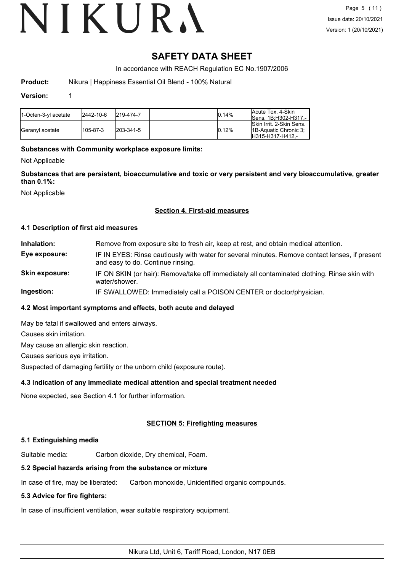## **SAFETY DATA SHEET**

In accordance with REACH Regulation EC No.1907/2006

**Product:** Nikura | Happiness Essential Oil Blend - 100% Natural

#### **Version:** 1

| 11-Octen-3-vl acetate   | 2442-10-6 | 219-474-7         | 0.14% | lAcute Tox. 4-Skin<br>ISens. 1B:H302-H317.-                           |
|-------------------------|-----------|-------------------|-------|-----------------------------------------------------------------------|
| <b>IGeranvl</b> acetate | 105-87-3  | $ 203 - 341 - 5 $ | 0.12% | Skin Irrit, 2-Skin Sens.<br>18-Aquatic Chronic 3:<br>H315-H317-H412 - |

#### **Substances with Community workplace exposure limits:**

Not Applicable

**Substances that are persistent, bioaccumulative and toxic or very persistent and very bioaccumulative, greater than 0.1%:**

Not Applicable

#### **Section 4. First-aid measures**

#### **4.1 Description of first aid measures**

| Inhalation:    | Remove from exposure site to fresh air, keep at rest, and obtain medical attention.                                                 |
|----------------|-------------------------------------------------------------------------------------------------------------------------------------|
| Eye exposure:  | IF IN EYES: Rinse cautiously with water for several minutes. Remove contact lenses, if present<br>and easy to do. Continue rinsing. |
| Skin exposure: | IF ON SKIN (or hair): Remove/take off immediately all contaminated clothing. Rinse skin with<br>water/shower.                       |
|                |                                                                                                                                     |

**Ingestion:** IF SWALLOWED: Immediately call a POISON CENTER or doctor/physician.

### **4.2 Most important symptoms and effects, both acute and delayed**

May be fatal if swallowed and enters airways. Causes skin irritation. May cause an allergic skin reaction. Causes serious eye irritation.

Suspected of damaging fertility or the unborn child (exposure route).

#### **4.3 Indication of any immediate medical attention and special treatment needed**

None expected, see Section 4.1 for further information.

#### **SECTION 5: Firefighting measures**

#### **5.1 Extinguishing media**

Suitable media: Carbon dioxide, Dry chemical, Foam.

#### **5.2 Special hazards arising from the substance or mixture**

In case of fire, may be liberated: Carbon monoxide, Unidentified organic compounds.

#### **5.3 Advice for fire fighters:**

In case of insufficient ventilation, wear suitable respiratory equipment.

Nikura Ltd, Unit 6, Tariff Road, London, N17 0EB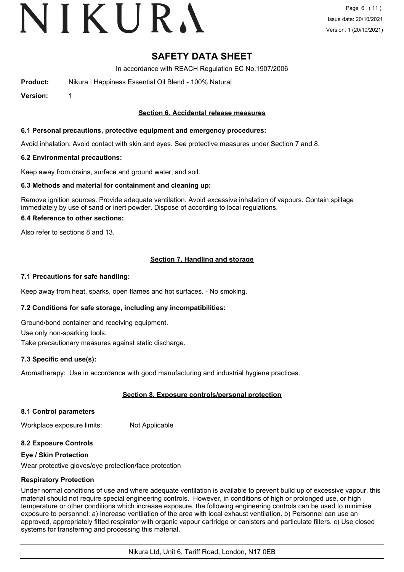## **SAFETY DATA SHEET**

In accordance with REACH Regulation EC No.1907/2006

**Product:** Nikura | Happiness Essential Oil Blend - 100% Natural

**Version:** 1

#### **Section 6. Accidental release measures**

#### **6.1 Personal precautions, protective equipment and emergency procedures:**

Avoid inhalation. Avoid contact with skin and eyes. See protective measures under Section 7 and 8.

#### **6.2 Environmental precautions:**

Keep away from drains, surface and ground water, and soil.

#### **6.3 Methods and material for containment and cleaning up:**

Remove ignition sources. Provide adequate ventilation. Avoid excessive inhalation of vapours. Contain spillage immediately by use of sand or inert powder. Dispose of according to local regulations.

#### **6.4 Reference to other sections:**

Also refer to sections 8 and 13.

## **Section 7. Handling and storage**

#### **7.1 Precautions for safe handling:**

Keep away from heat, sparks, open flames and hot surfaces. - No smoking.

#### **7.2 Conditions for safe storage, including any incompatibilities:**

Ground/bond container and receiving equipment.

Use only non-sparking tools.

Take precautionary measures against static discharge.

#### **7.3 Specific end use(s):**

Aromatherapy: Use in accordance with good manufacturing and industrial hygiene practices.

## **Section 8. Exposure controls/personal protection**

#### **8.1 Control parameters**

Workplace exposure limits: Not Applicable

#### **8.2 Exposure Controls**

#### **Eye / Skin Protection**

Wear protective gloves/eye protection/face protection

#### **Respiratory Protection**

Under normal conditions of use and where adequate ventilation is available to prevent build up of excessive vapour, this material should not require special engineering controls. However, in conditions of high or prolonged use, or high temperature or other conditions which increase exposure, the following engineering controls can be used to minimise exposure to personnel: a) Increase ventilation of the area with local exhaust ventilation. b) Personnel can use an approved, appropriately fitted respirator with organic vapour cartridge or canisters and particulate filters. c) Use closed systems for transferring and processing this material.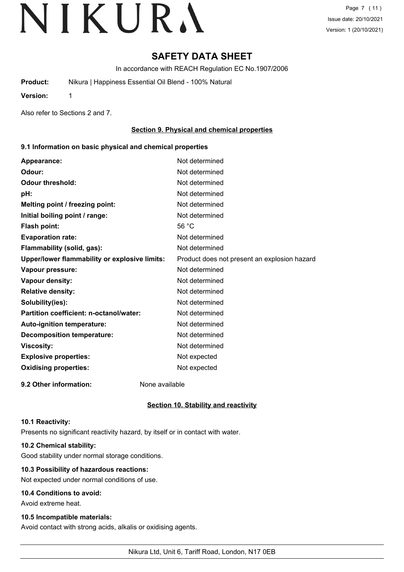## **SAFETY DATA SHEET**

In accordance with REACH Regulation EC No.1907/2006

**Product:** Nikura | Happiness Essential Oil Blend - 100% Natural

**Version:** 1

Also refer to Sections 2 and 7.

### **Section 9. Physical and chemical properties**

#### **9.1 Information on basic physical and chemical properties**

| Appearance:                                             | Not determined                               |
|---------------------------------------------------------|----------------------------------------------|
| Odour:                                                  | Not determined                               |
| <b>Odour threshold:</b>                                 | Not determined                               |
| pH:                                                     | Not determined                               |
| Melting point / freezing point:                         | Not determined                               |
| Initial boiling point / range:                          | Not determined                               |
| Flash point:                                            | 56 °C                                        |
| <b>Evaporation rate:</b>                                | Not determined                               |
| Flammability (solid, gas):                              | Not determined                               |
| Upper/lower flammability or explosive limits:           | Product does not present an explosion hazard |
| Vapour pressure:                                        | Not determined                               |
| Vapour density:                                         | Not determined                               |
| <b>Relative density:</b>                                | Not determined                               |
| Solubility(ies):                                        | Not determined                               |
| Partition coefficient: n-octanol/water:                 | Not determined                               |
| Auto-ignition temperature:                              | Not determined                               |
| <b>Decomposition temperature:</b>                       | Not determined                               |
| <b>Viscosity:</b>                                       | Not determined                               |
| <b>Explosive properties:</b>                            | Not expected                                 |
| <b>Oxidising properties:</b>                            | Not expected                                 |
| $0.0.01$ $1.0.01$<br><b>Allenso Constantino Library</b> |                                              |

**9.2 Other information:** None available

**Section 10. Stability and reactivity**

#### **10.1 Reactivity:**

Presents no significant reactivity hazard, by itself or in contact with water.

#### **10.2 Chemical stability:**

Good stability under normal storage conditions.

#### **10.3 Possibility of hazardous reactions:**

Not expected under normal conditions of use.

#### **10.4 Conditions to avoid:**

Avoid extreme heat.

#### **10.5 Incompatible materials:**

Avoid contact with strong acids, alkalis or oxidising agents.

Nikura Ltd, Unit 6, Tariff Road, London, N17 0EB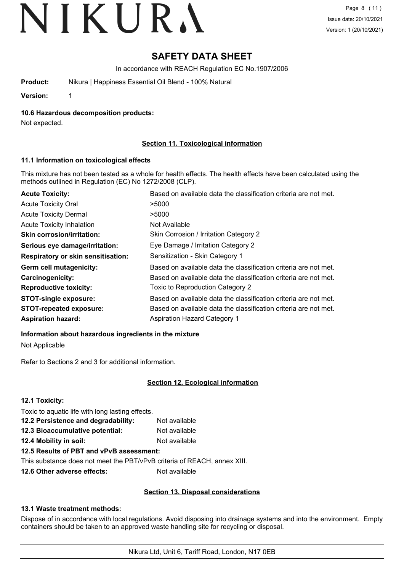# **SAFETY DATA SHEET**

In accordance with REACH Regulation EC No.1907/2006

**Product:** Nikura | Happiness Essential Oil Blend - 100% Natural

**Version:** 1

**10.6 Hazardous decomposition products:**

Not expected.

## **Section 11. Toxicological information**

### **11.1 Information on toxicological effects**

This mixture has not been tested as a whole for health effects. The health effects have been calculated using the methods outlined in Regulation (EC) No 1272/2008 (CLP).

| <b>Acute Toxicity:</b>             | Based on available data the classification criteria are not met. |
|------------------------------------|------------------------------------------------------------------|
| <b>Acute Toxicity Oral</b>         | >5000                                                            |
| <b>Acute Toxicity Dermal</b>       | >5000                                                            |
| <b>Acute Toxicity Inhalation</b>   | Not Available                                                    |
| <b>Skin corrosion/irritation:</b>  | Skin Corrosion / Irritation Category 2                           |
| Serious eye damage/irritation:     | Eye Damage / Irritation Category 2                               |
| Respiratory or skin sensitisation: | Sensitization - Skin Category 1                                  |
| Germ cell mutagenicity:            | Based on available data the classification criteria are not met. |
| <b>Carcinogenicity:</b>            | Based on available data the classification criteria are not met. |
| <b>Reproductive toxicity:</b>      | Toxic to Reproduction Category 2                                 |
| <b>STOT-single exposure:</b>       | Based on available data the classification criteria are not met. |
| <b>STOT-repeated exposure:</b>     | Based on available data the classification criteria are not met. |
| <b>Aspiration hazard:</b>          | <b>Aspiration Hazard Category 1</b>                              |

#### **Information about hazardous ingredients in the mixture**

Not Applicable

Refer to Sections 2 and 3 for additional information.

## **Section 12. Ecological information**

| 12.1 Toxicity:                                                           |               |
|--------------------------------------------------------------------------|---------------|
| Toxic to aquatic life with long lasting effects.                         |               |
| 12.2 Persistence and degradability:                                      | Not available |
| 12.3 Bioaccumulative potential:                                          | Not available |
| 12.4 Mobility in soil:                                                   | Not available |
| 12.5 Results of PBT and vPvB assessment:                                 |               |
| This substance does not meet the PBT/vPvB criteria of REACH, annex XIII. |               |
| 12.6 Other adverse effects:                                              | Not available |

## **Section 13. Disposal considerations**

#### **13.1 Waste treatment methods:**

Dispose of in accordance with local regulations. Avoid disposing into drainage systems and into the environment. Empty containers should be taken to an approved waste handling site for recycling or disposal.

Nikura Ltd, Unit 6, Tariff Road, London, N17 0EB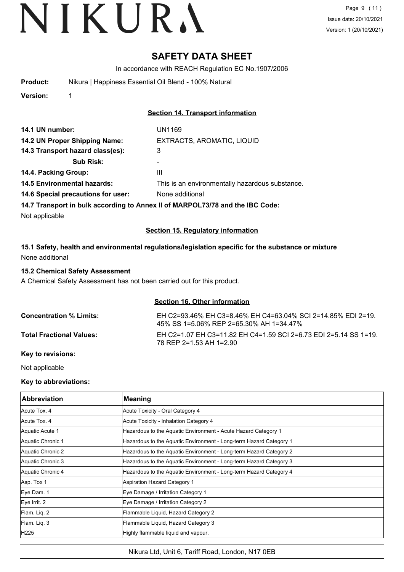## **SAFETY DATA SHEET**

In accordance with REACH Regulation EC No.1907/2006

| <b>Product:</b> | Nikura   Happiness Essential Oil Blend - 100% Natural |  |
|-----------------|-------------------------------------------------------|--|
| . .             |                                                       |  |

**Version:** 1

### **Section 14. Transport information**

| 14.1 UN number:                    | UN1169                                          |
|------------------------------------|-------------------------------------------------|
| 14.2 UN Proper Shipping Name:      | EXTRACTS, AROMATIC, LIQUID                      |
| 14.3 Transport hazard class(es):   | 3                                               |
| <b>Sub Risk:</b>                   | ۰                                               |
| 14.4. Packing Group:               | Ш                                               |
| <b>14.5 Environmental hazards:</b> | This is an environmentally hazardous substance. |
| 14.6 Special precautions for user: | None additional                                 |
|                                    |                                                 |

#### **14.7 Transport in bulk according to Annex II of MARPOL73/78 and the IBC Code:**

Not applicable

#### **Section 15. Regulatory information**

**15.1 Safety, health and environmental regulations/legislation specific for the substance or mixture** None additional

#### **15.2 Chemical Safety Assessment**

A Chemical Safety Assessment has not been carried out for this product.

#### **Section 16. Other information**

**Concentration % Limits:** EH C2=93.46% EH C3=8.46% EH C4=63.04% SCI 2=14.85% EDI 2=19. 45% SS 1=5.06% REP 2=65.30% AH 1=34.47% **Total Fractional Values:** EH C2=1.07 EH C3=11.82 EH C4=1.59 SCI 2=6.73 EDI 2=5.14 SS 1=19. 78 REP 2=1.53 AH 1=2.90

#### **Key to revisions:**

Not applicable

#### **Key to abbreviations:**

| <b>Abbreviation</b> | <b>Meaning</b>                                                     |
|---------------------|--------------------------------------------------------------------|
| Acute Tox, 4        | Acute Toxicity - Oral Category 4                                   |
| Acute Tox. 4        | Acute Toxicity - Inhalation Category 4                             |
| Aquatic Acute 1     | Hazardous to the Aquatic Environment - Acute Hazard Category 1     |
| Aquatic Chronic 1   | Hazardous to the Aquatic Environment - Long-term Hazard Category 1 |
| Aquatic Chronic 2   | Hazardous to the Aquatic Environment - Long-term Hazard Category 2 |
| Aquatic Chronic 3   | Hazardous to the Aquatic Environment - Long-term Hazard Category 3 |
| Aquatic Chronic 4   | Hazardous to the Aquatic Environment - Long-term Hazard Category 4 |
| Asp. Tox 1          | Aspiration Hazard Category 1                                       |
| Eye Dam. 1          | Eye Damage / Irritation Category 1                                 |
| Eye Irrit. 2        | Eye Damage / Irritation Category 2                                 |
| Flam. Lig. 2        | Flammable Liquid, Hazard Category 2                                |
| Flam. Liq. 3        | Flammable Liquid, Hazard Category 3                                |
| H225                | Highly flammable liquid and vapour.                                |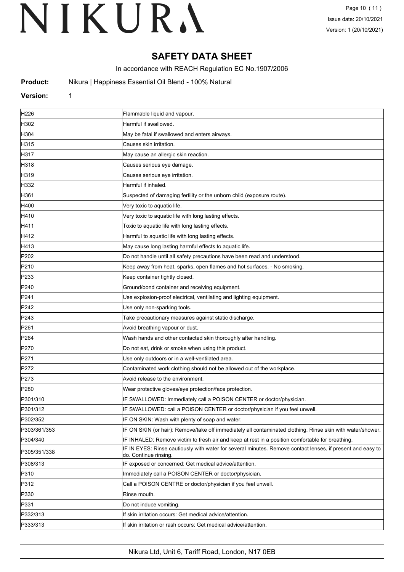## **SAFETY DATA SHEET**

In accordance with REACH Regulation EC No.1907/2006

**Product:** Nikura | Happiness Essential Oil Blend - 100% Natural

### **Version:** 1

| H <sub>226</sub> | Flammable liquid and vapour.                                                                                                       |  |
|------------------|------------------------------------------------------------------------------------------------------------------------------------|--|
| H302             | Harmful if swallowed.                                                                                                              |  |
| H304             | May be fatal if swallowed and enters airways.                                                                                      |  |
| H315             | Causes skin irritation.                                                                                                            |  |
| H317             | May cause an allergic skin reaction.                                                                                               |  |
| H318             | Causes serious eye damage.                                                                                                         |  |
| H319             | Causes serious eye irritation.                                                                                                     |  |
| H332             | Harmful if inhaled.                                                                                                                |  |
| H361             | Suspected of damaging fertility or the unborn child (exposure route).                                                              |  |
| H400             | Very toxic to aquatic life.                                                                                                        |  |
| H410             | Very toxic to aquatic life with long lasting effects.                                                                              |  |
| H411             | Toxic to aquatic life with long lasting effects.                                                                                   |  |
| H412             | Harmful to aquatic life with long lasting effects.                                                                                 |  |
| H413             | May cause long lasting harmful effects to aquatic life.                                                                            |  |
| P202             | Do not handle until all safety precautions have been read and understood.                                                          |  |
| P210             | Keep away from heat, sparks, open flames and hot surfaces. - No smoking.                                                           |  |
| P233             | Keep container tightly closed.                                                                                                     |  |
| P240             | Ground/bond container and receiving equipment.                                                                                     |  |
| P241             | Use explosion-proof electrical, ventilating and lighting equipment.                                                                |  |
| P242             | Use only non-sparking tools.                                                                                                       |  |
| P243             | Take precautionary measures against static discharge.                                                                              |  |
| P261             | Avoid breathing vapour or dust.                                                                                                    |  |
| P <sub>264</sub> | Wash hands and other contacted skin thoroughly after handling.                                                                     |  |
| P270             | Do not eat, drink or smoke when using this product.                                                                                |  |
| P271             | Use only outdoors or in a well-ventilated area.                                                                                    |  |
| P272             | Contaminated work clothing should not be allowed out of the workplace.                                                             |  |
| P273             | Avoid release to the environment.                                                                                                  |  |
| P <sub>280</sub> | Wear protective gloves/eye protection/face protection.                                                                             |  |
| P301/310         | IF SWALLOWED: Immediately call a POISON CENTER or doctor/physician.                                                                |  |
| P301/312         | IF SWALLOWED: call a POISON CENTER or doctor/physician if you feel unwell.                                                         |  |
| P302/352         | IF ON SKIN: Wash with plenty of soap and water.                                                                                    |  |
| P303/361/353     | IF ON SKIN (or hair): Remove/take off immediately all contaminated clothing. Rinse skin with water/shower.                         |  |
| P304/340         | IF INHALED: Remove victim to fresh air and keep at rest in a position comfortable for breathing.                                   |  |
| P305/351/338     | IF IN EYES: Rinse cautiously with water for several minutes. Remove contact lenses, if present and easy to<br>do. Continue rinsing |  |
| P308/313         | IF exposed or concerned: Get medical advice/attention.                                                                             |  |
| P310             | Immediately call a POISON CENTER or doctor/physician.                                                                              |  |
| P312             | Call a POISON CENTRE or doctor/physician if you feel unwell.                                                                       |  |
| P330             | Rinse mouth.                                                                                                                       |  |
| P331             | Do not induce vomiting.                                                                                                            |  |
| P332/313         | If skin irritation occurs: Get medical advice/attention.                                                                           |  |
| P333/313         | If skin irritation or rash occurs: Get medical advice/attention.                                                                   |  |